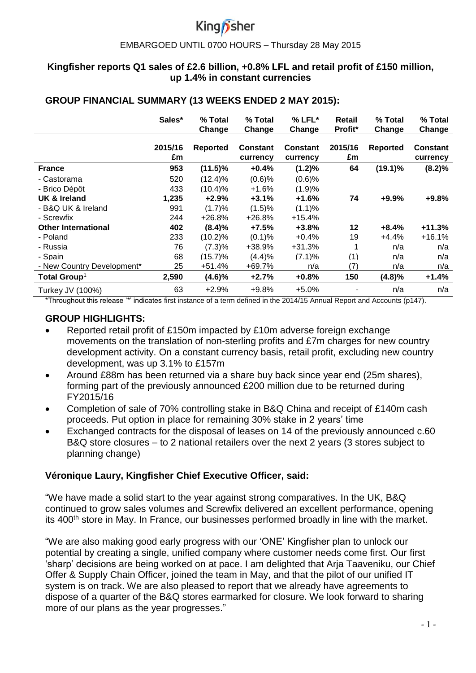#### EMBARGOED UNTIL 0700 HOURS – Thursday 28 May 2015

## **Kingfisher reports Q1 sales of £2.6 billion, +0.8% LFL and retail profit of £150 million, up 1.4% in constant currencies**

### **GROUP FINANCIAL SUMMARY (13 WEEKS ENDED 2 MAY 2015):**

|                            | Sales*        | % Total<br>Change | % Total<br>Change           | $%$ LFL $*$<br>Change       | Retail<br>Profit* | % Total<br>Change | % Total<br>Change           |
|----------------------------|---------------|-------------------|-----------------------------|-----------------------------|-------------------|-------------------|-----------------------------|
|                            | 2015/16<br>£m | <b>Reported</b>   | <b>Constant</b><br>currency | <b>Constant</b><br>currency | 2015/16<br>£m     | <b>Reported</b>   | <b>Constant</b><br>currency |
| <b>France</b>              | 953           | $(11.5)\%$        | $+0.4%$                     | $(1.2)\%$                   | 64                | $(19.1)\%$        | (8.2)%                      |
| - Castorama                | 520           | $(12.4)\%$        | $(0.6)$ %                   | $(0.6)$ %                   |                   |                   |                             |
| - Brico Dépôt              | 433           | $(10.4)\%$        | $+1.6%$                     | (1.9)%                      |                   |                   |                             |
| UK & Ireland               | 1,235         | $+2.9%$           | $+3.1%$                     | $+1.6%$                     | 74                | $+9.9%$           | $+9.8%$                     |
| - B&Q UK & Ireland         | 991           | (1.7)%            | (1.5)%                      | (1.1)%                      |                   |                   |                             |
| - Screwfix                 | 244           | $+26.8%$          | $+26.8%$                    | +15.4%                      |                   |                   |                             |
| <b>Other International</b> | 402           | (8.4)%            | $+7.5%$                     | $+3.8%$                     | 12                | $+8.4%$           | $+11.3%$                    |
| - Poland                   | 233           | $(10.2)\%$        | $(0.1)$ %                   | $+0.4%$                     | 19                | $+4.4%$           | $+16.1%$                    |
| - Russia                   | 76            | (7.3)%            | +38.9%                      | +31.3%                      | 1                 | n/a               | n/a                         |
| - Spain                    | 68            | $(15.7)\%$        | (4.4)%                      | (7.1)%                      | (1)               | n/a               | n/a                         |
| - New Country Development* | 25            | +51.4%            | +69.7%                      | n/a                         | (7)               | n/a               | n/a                         |
| Total Group <sup>1</sup>   | 2,590         | $(4.6)\%$         | $+2.7%$                     | $+0.8%$                     | 150               | (4.8)%            | $+1.4%$                     |
| Turkey JV (100%)           | 63            | $+2.9%$           | $+9.8%$                     | $+5.0%$                     |                   | n/a               | n/a                         |

\*Throughout this release '\*' indicates first instance of a term defined in the 2014/15 Annual Report and Accounts (p147).

## **GROUP HIGHLIGHTS:**

- Reported retail profit of £150m impacted by £10m adverse foreign exchange movements on the translation of non-sterling profits and £7m charges for new country development activity. On a constant currency basis, retail profit, excluding new country development, was up 3.1% to £157m
- Around £88m has been returned via a share buy back since year end (25m shares), forming part of the previously announced £200 million due to be returned during FY2015/16
- Completion of sale of 70% controlling stake in B&Q China and receipt of £140m cash proceeds. Put option in place for remaining 30% stake in 2 years' time
- Exchanged contracts for the disposal of leases on 14 of the previously announced c.60 B&Q store closures – to 2 national retailers over the next 2 years (3 stores subject to planning change)

## **Véronique Laury, Kingfisher Chief Executive Officer, said:**

"We have made a solid start to the year against strong comparatives. In the UK, B&Q continued to grow sales volumes and Screwfix delivered an excellent performance, opening its 400<sup>th</sup> store in May. In France, our businesses performed broadly in line with the market.

"We are also making good early progress with our 'ONE' Kingfisher plan to unlock our potential by creating a single, unified company where customer needs come first. Our first 'sharp' decisions are being worked on at pace. I am delighted that Arja Taaveniku, our Chief Offer & Supply Chain Officer, joined the team in May, and that the pilot of our unified IT system is on track. We are also pleased to report that we already have agreements to dispose of a quarter of the B&Q stores earmarked for closure. We look forward to sharing more of our plans as the year progresses."